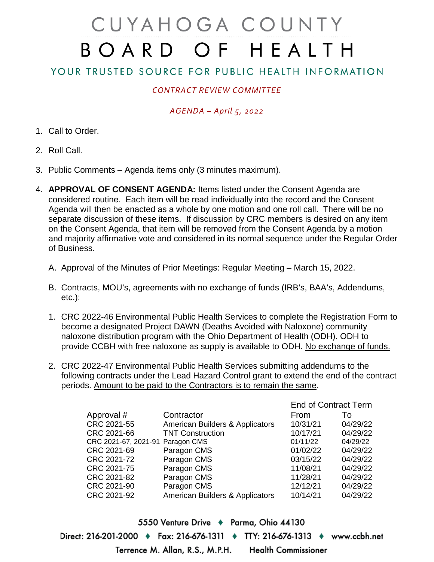# CUYAHOGA COUNTY BOARD OF HEALTH

## YOUR TRUSTED SOURCE FOR PUBLIC HEALTH INFORMATION

### *CONTRACT REVIEW COMMITTEE*

#### *AGENDA – April 5, 2022*

- 1. Call to Order.
- 2. Roll Call.
- 3. Public Comments Agenda items only (3 minutes maximum).
- 4. **APPROVAL OF CONSENT AGENDA:** Items listed under the Consent Agenda are considered routine. Each item will be read individually into the record and the Consent Agenda will then be enacted as a whole by one motion and one roll call. There will be no separate discussion of these items. If discussion by CRC members is desired on any item on the Consent Agenda, that item will be removed from the Consent Agenda by a motion and majority affirmative vote and considered in its normal sequence under the Regular Order of Business.
	- A. Approval of the Minutes of Prior Meetings: Regular Meeting March 15, 2022.
	- B. Contracts, MOU's, agreements with no exchange of funds (IRB's, BAA's, Addendums, etc.):
	- 1. CRC 2022-46 Environmental Public Health Services to complete the Registration Form to become a designated Project DAWN (Deaths Avoided with Naloxone) community naloxone distribution program with the Ohio Department of Health (ODH). ODH to provide CCBH with free naloxone as supply is available to ODH. No exchange of funds.
	- 2. CRC 2022-47 Environmental Public Health Services submitting addendums to the following contracts under the Lead Hazard Control grant to extend the end of the contract periods. Amount to be paid to the Contractors is to remain the same.

|                                  |                                 | ETIU OF CONTRACT TENNI |          |
|----------------------------------|---------------------------------|------------------------|----------|
| Approval #                       | Contractor                      | From                   | To       |
| CRC 2021-55                      | American Builders & Applicators | 10/31/21               | 04/29/22 |
| CRC 2021-66                      | <b>TNT Construction</b>         | 10/17/21               | 04/29/22 |
| CRC 2021-67, 2021-91 Paragon CMS |                                 | 01/11/22               | 04/29/22 |
| CRC 2021-69                      | Paragon CMS                     | 01/02/22               | 04/29/22 |
| CRC 2021-72                      | Paragon CMS                     | 03/15/22               | 04/29/22 |
| CRC 2021-75                      | Paragon CMS                     | 11/08/21               | 04/29/22 |
| CRC 2021-82                      | Paragon CMS                     | 11/28/21               | 04/29/22 |
| CRC 2021-90                      | Paragon CMS                     | 12/12/21               | 04/29/22 |
| CRC 2021-92                      | American Builders & Applicators | 10/14/21               | 04/29/22 |
|                                  |                                 |                        |          |

End of Contract Term

5550 Venture Drive + Parma, Ohio 44130 Direct: 216-201-2000 ♦ Fax: 216-676-1311 ♦ TTY: 216-676-1313 ♦ www.ccbh.net Terrence M. Allan, R.S., M.P.H. **Health Commissioner**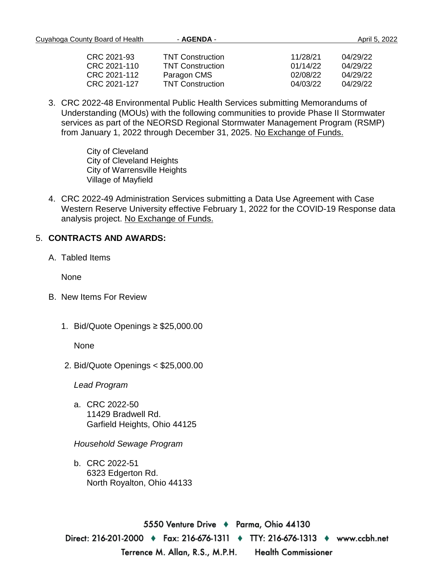| Cuyahoga County Board of Health | - AGENDA -              |          | April 5, 2022 |  |
|---------------------------------|-------------------------|----------|---------------|--|
| CRC 2021-93                     | <b>TNT Construction</b> | 11/28/21 | 04/29/22      |  |
| CRC 2021-110                    | <b>TNT Construction</b> | 01/14/22 | 04/29/22      |  |
| CRC 2021-112                    | Paragon CMS             | 02/08/22 | 04/29/22      |  |
| CRC 2021-127                    | <b>TNT Construction</b> | 04/03/22 | 04/29/22      |  |

3. CRC 2022-48 Environmental Public Health Services submitting Memorandums of Understanding (MOUs) with the following communities to provide Phase II Stormwater services as part of the NEORSD Regional Stormwater Management Program (RSMP) from January 1, 2022 through December 31, 2025. No Exchange of Funds.

> City of Cleveland City of Cleveland Heights City of Warrensville Heights Village of Mayfield

4. CRC 2022-49 Administration Services submitting a Data Use Agreement with Case Western Reserve University effective February 1, 2022 for the COVID-19 Response data analysis project. No Exchange of Funds.

#### 5. **CONTRACTS AND AWARDS:**

A. Tabled Items

None

- B. New Items For Review
	- 1. Bid/Quote Openings ≥ \$25,000.00

None

2. Bid/Quote Openings < \$25,000.00

*Lead Program* 

a. CRC 2022-50 11429 Bradwell Rd. Garfield Heights, Ohio 44125

*Household Sewage Program* 

b. CRC 2022-51 6323 Edgerton Rd. North Royalton, Ohio 44133

5550 Venture Drive → Parma, Ohio 44130 Direct: 216-201-2000  $\bullet$  Fax: 216-676-1311  $\bullet$  TTY: 216-676-1313  $\bullet$  www.ccbh.net Terrence M. Allan, R.S., M.P.H. **Health Commissioner**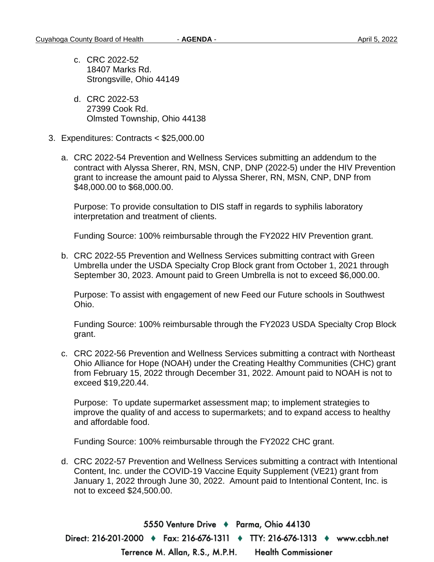- c. CRC 2022-52 18407 Marks Rd. Strongsville, Ohio 44149
- d. CRC 2022-53 27399 Cook Rd. Olmsted Township, Ohio 44138
- 3. Expenditures: Contracts < \$25,000.00
	- a. CRC 2022-54 Prevention and Wellness Services submitting an addendum to the contract with Alyssa Sherer, RN, MSN, CNP, DNP (2022-5) under the HIV Prevention grant to increase the amount paid to Alyssa Sherer, RN, MSN, CNP, DNP from \$48,000.00 to \$68,000.00.

Purpose: To provide consultation to DIS staff in regards to syphilis laboratory interpretation and treatment of clients.

Funding Source: 100% reimbursable through the FY2022 HIV Prevention grant.

b. CRC 2022-55 Prevention and Wellness Services submitting contract with Green Umbrella under the USDA Specialty Crop Block grant from October 1, 2021 through September 30, 2023. Amount paid to Green Umbrella is not to exceed \$6,000.00.

Purpose: To assist with engagement of new Feed our Future schools in Southwest Ohio.

Funding Source: 100% reimbursable through the FY2023 USDA Specialty Crop Block grant.

c. CRC 2022-56 Prevention and Wellness Services submitting a contract with Northeast Ohio Alliance for Hope (NOAH) under the Creating Healthy Communities (CHC) grant from February 15, 2022 through December 31, 2022. Amount paid to NOAH is not to exceed \$19,220.44.

Purpose: To update supermarket assessment map; to implement strategies to improve the quality of and access to supermarkets; and to expand access to healthy and affordable food.

Funding Source: 100% reimbursable through the FY2022 CHC grant.

d. CRC 2022-57 Prevention and Wellness Services submitting a contract with Intentional Content, Inc. under the COVID-19 Vaccine Equity Supplement (VE21) grant from January 1, 2022 through June 30, 2022. Amount paid to Intentional Content, Inc. is not to exceed \$24,500.00.

5550 Venture Drive → Parma, Ohio 44130 Direct: 216-201-2000 ♦ Fax: 216-676-1311 ♦ TTY: 216-676-1313 ♦ www.ccbh.net **Health Commissioner** Terrence M. Allan, R.S., M.P.H.